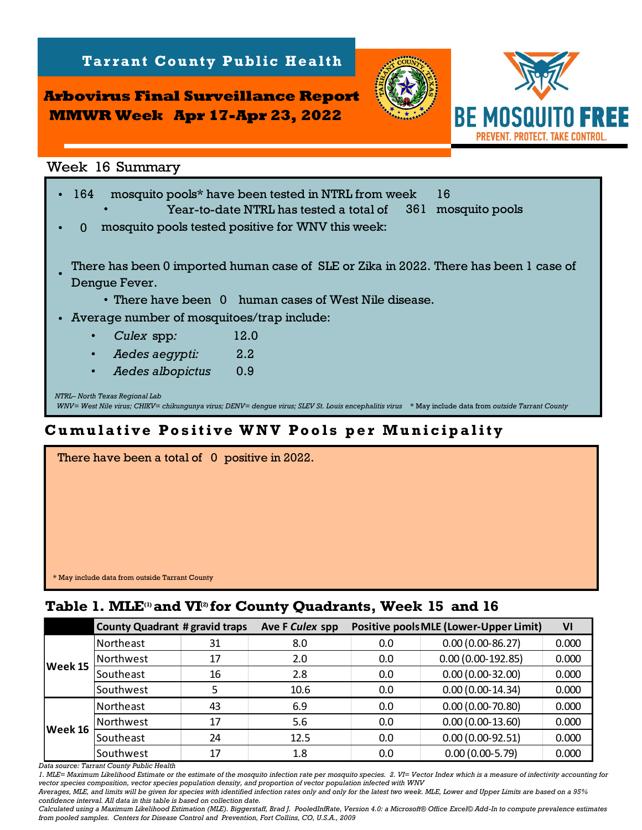**Arbovirus Final Surveillance Report MMWR Week Apr 17-Apr 23, 2022**

**Tarrant County Public Health** 



*NTRL– North Texas Regional Lab WNV= West Nile virus; CHIKV= chikungunya virus; DENV= dengue virus; SLEV St. Louis encephalitis virus* \* May include data from *outside Tarrant County* Week 16 Summary<br>164 mosquito pools\* have been tested in NTRL from week 16<br>16 Year-to-date NTRL has tested a total of 1961 mosquito pools Year-to-date NTRL has tested a total of  $\mathbf{0}$ • There have been 0 human cases of West Nile disease. • Average number of mosquitoes/trap include: • *Culex* spp*:* • • *Aedes albopictus:* 0.9  *Aedes aegypti:* 2.2 mosquito pools tested positive for WNV this week: 12.0 There has been 0 imported human case of SLE or Zika in 2022. There has been 1 case of Dengue Fever. • **Table 1. Mathematical Surveillance Report**<br>
Week 16 Summary<br>
1. 164 mosquito pools<sup>\*</sup> have been tested in NIRL from week 16<br>
164 mosquito pools<sup>\*</sup> have been tested in NIRL from week<br>
1. There has been 0 imported human cas

## **Cumulative Positive WNV Pools per Municipality**

| There have been a total of 0 positive in 2022. |  |
|------------------------------------------------|--|
|                                                |  |
|                                                |  |
|                                                |  |
|                                                |  |
|                                                |  |
|                                                |  |
| * May include data from outside Tarrant County |  |

|         | <b>County Quadrant # gravid traps</b> |    | Ave F Culex spp |     | <b>Positive pools MLE (Lower-Upper Limit)</b> | VI    |
|---------|---------------------------------------|----|-----------------|-----|-----------------------------------------------|-------|
| Week 15 | Northeast                             | 31 | 8.0             | 0.0 | $0.00(0.00-86.27)$                            | 0.000 |
|         | Northwest                             | 17 | 2.0             | 0.0 | $0.00(0.00-192.85)$                           | 0.000 |
|         | Southeast                             | 16 | 2.8             | 0.0 | $0.00(0.00-32.00)$                            | 0.000 |
|         | Southwest                             |    | 10.6            | 0.0 | $0.00(0.00-14.34)$                            | 0.000 |
| Week 16 | Northeast                             | 43 | 6.9             | 0.0 | $0.00(0.00-70.80)$                            | 0.000 |
|         | Northwest                             | 17 | 5.6             | 0.0 | $0.00(0.00-13.60)$                            | 0.000 |
|         | Southeast                             | 24 | 12.5            | 0.0 | $0.00(0.00-92.51)$                            | 0.000 |
|         | Southwest                             | 17 | 1.8             | 0.0 | $0.00(0.00-5.79)$                             | 0.000 |

*Data source: Tarrant County Public Health* 

*1. MLE= Maximum Likelihood Estimate or the estimate of the mosquito infection rate per mosquito species. 2. VI= Vector Index which is a measure of infectivity accounting for vector species composition, vector species population density, and proportion of vector population infected with WNV*

*Averages, MLE, and limits will be given for species with identified infection rates only and only for the latest two week. MLE, Lower and Upper Limits are based on a 95% confidence interval. All data in this table is based on collection date.*

*Calculated using a Maximum Likelihood Estimation (MLE). Biggerstaff, Brad J. PooledInfRate, Version 4.0: a Microsoft® Office Excel© Add-In to compute prevalence estimates from pooled samples. Centers for Disease Control and Prevention, Fort Collins, CO, U.S.A., 2009*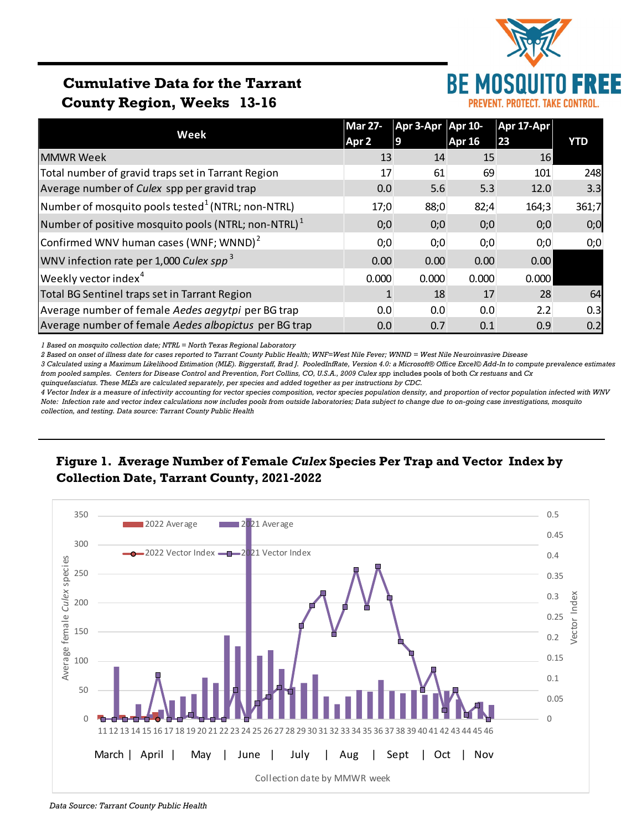

# **Cumulative Data for the Tarrant County Region, Weeks 13-16**

|                                                        | <b>Mar 27-</b> | Apr 3-Apr Apr 10- |               | Apr 17-Apr |       |  |
|--------------------------------------------------------|----------------|-------------------|---------------|------------|-------|--|
| Week                                                   | Apr 2          | 9                 | <b>Apr 16</b> | 23         | YTD   |  |
| <b>MMWR Week</b>                                       | 13             | 14                | 15            | 16         |       |  |
| Total number of gravid traps set in Tarrant Region     | 17             | 61                | 69            | 101        | 248   |  |
| Average number of Culex spp per gravid trap            | 0.0            | 5.6               | 5.3           | 12.0       | 3.3   |  |
| Number of mosquito pools tested $^1$ (NTRL; non-NTRL)  | 17;0           | 88;0              | 82;4          | 164;3      | 361;7 |  |
| Number of positive mosquito pools (NTRL; non-NTRL) $1$ | 0;0            | 0;0               | 0;0           | 0;0        | 0;0   |  |
| Confirmed WNV human cases (WNF; WNND) <sup>2</sup>     | 0;0            | 0;0               | 0;0           | 0;0        | 0;0   |  |
| WNV infection rate per 1,000 Culex spp <sup>3</sup>    | 0.00           | 0.00              | 0.00          | 0.00       |       |  |
| Weekly vector index <sup>4</sup>                       | 0.000          | 0.000             | 0.000         | 0.000      |       |  |
| Total BG Sentinel traps set in Tarrant Region          | 1              | 18                | 17            | 28         | 64    |  |
| Average number of female Aedes aegytpi per BG trap     | 0.0            | 0.0               | 0.0           | 2.2        | 0.3   |  |
| Average number of female Aedes albopictus per BG trap  | 0.0            | 0.7               | 0.1           | 0.9        | 0.2   |  |

*1 Based on mosquito collection date; NTRL = North Texas Regional Laboratory*

*2 Based on onset of illness date for cases reported to Tarrant County Public Health; WNF=West Nile Fever; WNND = West Nile Neuroinvasive Disease*

*3 Calculated using a Maximum Likelihood Estimation (MLE). Biggerstaff, Brad J. PooledInfRate, Version 4.0: a Microsoft® Office Excel© Add-In to compute prevalence estimates from pooled samples. Centers for Disease Control and Prevention, Fort Collins, CO, U.S.A., 2009 Culex spp* includes pools of both *Cx restuans* and *Cx* 

*quinquefasciatus. These MLEs are calculated separately, per species and added together as per instructions by CDC.*

*4 Vector Index is a measure of infectivity accounting for vector species composition, vector species population density, and proportion of vector population infected with WNV Note: Infection rate and vector index calculations now includes pools from outside laboratories; Data subject to change due to on-going case investigations, mosquito collection, and testing. Data source: Tarrant County Public Health*

### **Figure 1. Average Number of Female** *Culex* **Species Per Trap and Vector Index by Collection Date, Tarrant County, 2021-2022**



*Data Source: Tarrant County Public Health*